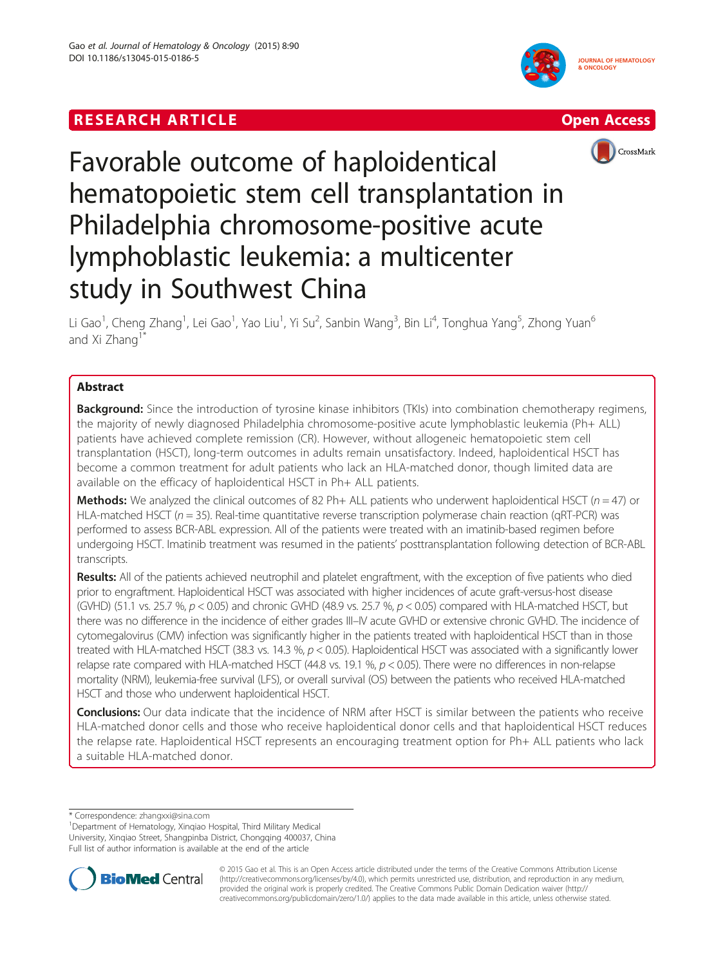# **RESEARCH ARTICLE EXECUTE: CONSIDERING A RESEARCH ARTICLE**







# Favorable outcome of haploidentical hematopoietic stem cell transplantation in Philadelphia chromosome-positive acute lymphoblastic leukemia: a multicenter study in Southwest China

Li Gao<sup>1</sup>, Cheng Zhang<sup>1</sup>, Lei Gao<sup>1</sup>, Yao Liu<sup>1</sup>, Yi Su<sup>2</sup>, Sanbin Wang<sup>3</sup>, Bin Li<sup>4</sup>, Tonghua Yang<sup>5</sup>, Zhong Yuan<sup>6</sup> and Xi Zhang<sup>1</sup>

# Abstract

**Background:** Since the introduction of tyrosine kinase inhibitors (TKIs) into combination chemotherapy regimens, the majority of newly diagnosed Philadelphia chromosome-positive acute lymphoblastic leukemia (Ph+ ALL) patients have achieved complete remission (CR). However, without allogeneic hematopoietic stem cell transplantation (HSCT), long-term outcomes in adults remain unsatisfactory. Indeed, haploidentical HSCT has become a common treatment for adult patients who lack an HLA-matched donor, though limited data are available on the efficacy of haploidentical HSCT in Ph+ ALL patients.

Methods: We analyzed the clinical outcomes of 82 Ph+ ALL patients who underwent haploidentical HSCT ( $n = 47$ ) or HLA-matched HSCT ( $n = 35$ ). Real-time quantitative reverse transcription polymerase chain reaction (qRT-PCR) was performed to assess BCR-ABL expression. All of the patients were treated with an imatinib-based regimen before undergoing HSCT. Imatinib treatment was resumed in the patients' posttransplantation following detection of BCR-ABL transcripts.

Results: All of the patients achieved neutrophil and platelet engraftment, with the exception of five patients who died prior to engraftment. Haploidentical HSCT was associated with higher incidences of acute graft-versus-host disease (GVHD) (51.1 vs. 25.7 %,  $p < 0.05$ ) and chronic GVHD (48.9 vs. 25.7 %,  $p < 0.05$ ) compared with HLA-matched HSCT, but there was no difference in the incidence of either grades III–IV acute GVHD or extensive chronic GVHD. The incidence of cytomegalovirus (CMV) infection was significantly higher in the patients treated with haploidentical HSCT than in those treated with HLA-matched HSCT (38.3 vs. 14.3 %,  $p < 0.05$ ). Haploidentical HSCT was associated with a significantly lower relapse rate compared with HLA-matched HSCT (44.8 vs. 19.1 %,  $p < 0.05$ ). There were no differences in non-relapse mortality (NRM), leukemia-free survival (LFS), or overall survival (OS) between the patients who received HLA-matched HSCT and those who underwent haploidentical HSCT.

Conclusions: Our data indicate that the incidence of NRM after HSCT is similar between the patients who receive HLA-matched donor cells and those who receive haploidentical donor cells and that haploidentical HSCT reduces the relapse rate. Haploidentical HSCT represents an encouraging treatment option for Ph+ ALL patients who lack a suitable HLA-matched donor.

\* Correspondence: [zhangxxi@sina.com](mailto:zhangxxi@sina.com) <sup>1</sup>

Department of Hematology, Xinqiao Hospital, Third Military Medical University, Xinqiao Street, Shangpinba District, Chongqing 400037, China

Full list of author information is available at the end of the article



© 2015 Gao et al. This is an Open Access article distributed under the terms of the Creative Commons Attribution License [\(http://creativecommons.org/licenses/by/4.0\)](http://creativecommons.org/licenses/by/4.0), which permits unrestricted use, distribution, and reproduction in any medium, provided the original work is properly credited. The Creative Commons Public Domain Dedication waiver [\(http://](http://creativecommons.org/publicdomain/zero/1.0/) [creativecommons.org/publicdomain/zero/1.0/\)](http://creativecommons.org/publicdomain/zero/1.0/) applies to the data made available in this article, unless otherwise stated.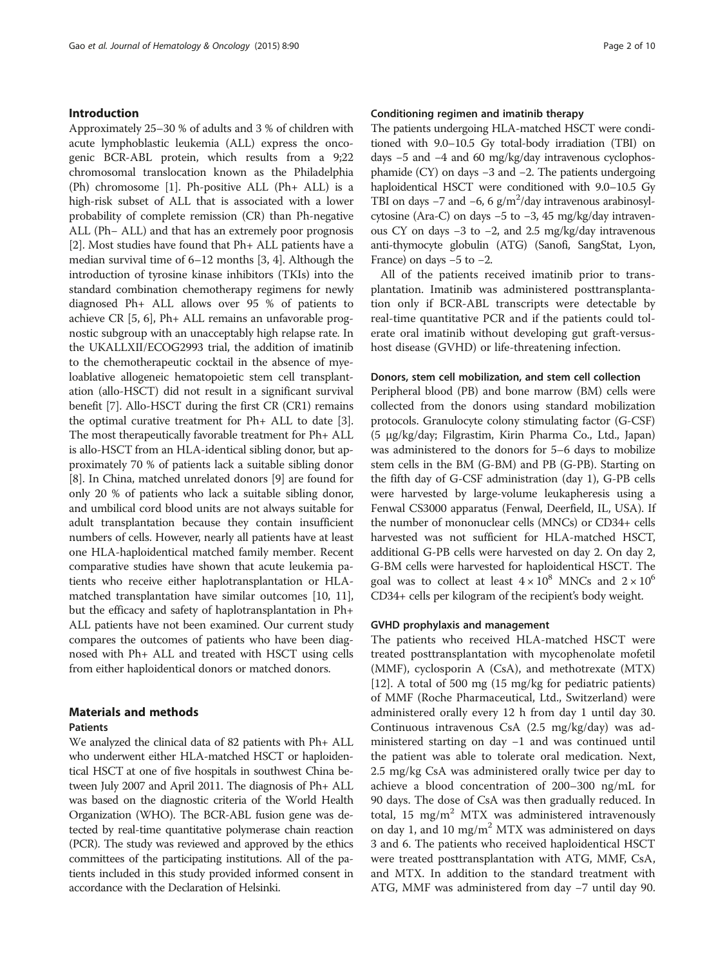### Introduction

Approximately 25–30 % of adults and 3 % of children with acute lymphoblastic leukemia (ALL) express the oncogenic BCR-ABL protein, which results from a 9;22 chromosomal translocation known as the Philadelphia (Ph) chromosome [[1](#page-8-0)]. Ph-positive ALL (Ph+ ALL) is a high-risk subset of ALL that is associated with a lower probability of complete remission (CR) than Ph-negative ALL (Ph− ALL) and that has an extremely poor prognosis [[2\]](#page-8-0). Most studies have found that Ph+ ALL patients have a median survival time of 6–12 months [\[3](#page-8-0), [4](#page-8-0)]. Although the introduction of tyrosine kinase inhibitors (TKIs) into the standard combination chemotherapy regimens for newly diagnosed Ph+ ALL allows over 95 % of patients to achieve CR [[5, 6\]](#page-8-0), Ph+ ALL remains an unfavorable prognostic subgroup with an unacceptably high relapse rate. In the UKALLXII/ECOG2993 trial, the addition of imatinib to the chemotherapeutic cocktail in the absence of myeloablative allogeneic hematopoietic stem cell transplantation (allo-HSCT) did not result in a significant survival benefit [\[7](#page-8-0)]. Allo-HSCT during the first CR (CR1) remains the optimal curative treatment for Ph+ ALL to date [[3](#page-8-0)]. The most therapeutically favorable treatment for Ph+ ALL is allo-HSCT from an HLA-identical sibling donor, but approximately 70 % of patients lack a suitable sibling donor [[8\]](#page-8-0). In China, matched unrelated donors [\[9](#page-8-0)] are found for only 20 % of patients who lack a suitable sibling donor, and umbilical cord blood units are not always suitable for adult transplantation because they contain insufficient numbers of cells. However, nearly all patients have at least one HLA-haploidentical matched family member. Recent comparative studies have shown that acute leukemia patients who receive either haplotransplantation or HLAmatched transplantation have similar outcomes [[10](#page-8-0), [11](#page-8-0)], but the efficacy and safety of haplotransplantation in Ph+ ALL patients have not been examined. Our current study compares the outcomes of patients who have been diagnosed with Ph+ ALL and treated with HSCT using cells from either haploidentical donors or matched donors.

# Materials and methods

# Patients

We analyzed the clinical data of 82 patients with Ph+ ALL who underwent either HLA-matched HSCT or haploidentical HSCT at one of five hospitals in southwest China between July 2007 and April 2011. The diagnosis of Ph+ ALL was based on the diagnostic criteria of the World Health Organization (WHO). The BCR-ABL fusion gene was detected by real-time quantitative polymerase chain reaction (PCR). The study was reviewed and approved by the ethics committees of the participating institutions. All of the patients included in this study provided informed consent in accordance with the Declaration of Helsinki.

#### Conditioning regimen and imatinib therapy

The patients undergoing HLA-matched HSCT were conditioned with 9.0–10.5 Gy total-body irradiation (TBI) on days −5 and −4 and 60 mg/kg/day intravenous cyclophosphamide (CY) on days −3 and −2. The patients undergoing haploidentical HSCT were conditioned with 9.0–10.5 Gy TBI on days  $-7$  and  $-6$ , 6 g/m<sup>2</sup>/day intravenous arabinosylcytosine (Ara-C) on days −5 to −3, 45 mg/kg/day intravenous CY on days −3 to −2, and 2.5 mg/kg/day intravenous anti-thymocyte globulin (ATG) (Sanofi, SangStat, Lyon, France) on days  $-5$  to  $-2$ .

All of the patients received imatinib prior to transplantation. Imatinib was administered posttransplantation only if BCR-ABL transcripts were detectable by real-time quantitative PCR and if the patients could tolerate oral imatinib without developing gut graft-versushost disease (GVHD) or life-threatening infection.

## Donors, stem cell mobilization, and stem cell collection

Peripheral blood (PB) and bone marrow (BM) cells were collected from the donors using standard mobilization protocols. Granulocyte colony stimulating factor (G-CSF) (5 μg/kg/day; Filgrastim, Kirin Pharma Co., Ltd., Japan) was administered to the donors for 5–6 days to mobilize stem cells in the BM (G-BM) and PB (G-PB). Starting on the fifth day of G-CSF administration (day 1), G-PB cells were harvested by large-volume leukapheresis using a Fenwal CS3000 apparatus (Fenwal, Deerfield, IL, USA). If the number of mononuclear cells (MNCs) or CD34+ cells harvested was not sufficient for HLA-matched HSCT, additional G-PB cells were harvested on day 2. On day 2, G-BM cells were harvested for haploidentical HSCT. The goal was to collect at least  $4 \times 10^8$  MNCs and  $2 \times 10^6$ CD34+ cells per kilogram of the recipient's body weight.

## GVHD prophylaxis and management

The patients who received HLA-matched HSCT were treated posttransplantation with mycophenolate mofetil (MMF), cyclosporin A (CsA), and methotrexate (MTX) [[12\]](#page-8-0). A total of 500 mg (15 mg/kg for pediatric patients) of MMF (Roche Pharmaceutical, Ltd., Switzerland) were administered orally every 12 h from day 1 until day 30. Continuous intravenous CsA (2.5 mg/kg/day) was administered starting on day −1 and was continued until the patient was able to tolerate oral medication. Next, 2.5 mg/kg CsA was administered orally twice per day to achieve a blood concentration of 200–300 ng/mL for 90 days. The dose of CsA was then gradually reduced. In total,  $15 \, \text{mg/m}^2$  MTX was administered intravenously on day 1, and 10 mg/m<sup>2</sup> MTX was administered on days 3 and 6. The patients who received haploidentical HSCT were treated posttransplantation with ATG, MMF, CsA, and MTX. In addition to the standard treatment with ATG, MMF was administered from day −7 until day 90.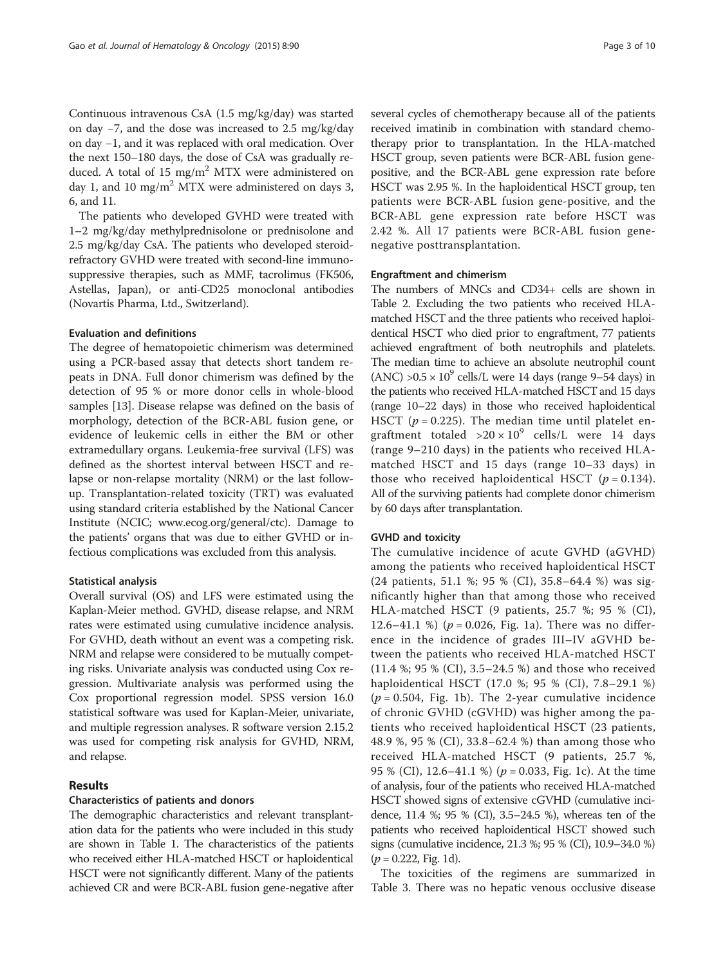Continuous intravenous CsA (1.5 mg/kg/day) was started on day −7, and the dose was increased to 2.5 mg/kg/day on day −1, and it was replaced with oral medication. Over the next 150–180 days, the dose of CsA was gradually reduced. A total of 15 mg/m<sup>2</sup> MTX were administered on day 1, and 10 mg/m<sup>2</sup> MTX were administered on days 3, 6, and 11.

The patients who developed GVHD were treated with 1–2 mg/kg/day methylprednisolone or prednisolone and 2.5 mg/kg/day CsA. The patients who developed steroidrefractory GVHD were treated with second-line immunosuppressive therapies, such as MMF, tacrolimus (FK506, Astellas, Japan), or anti-CD25 monoclonal antibodies (Novartis Pharma, Ltd., Switzerland).

#### Evaluation and definitions

The degree of hematopoietic chimerism was determined using a PCR-based assay that detects short tandem repeats in DNA. Full donor chimerism was defined by the detection of 95 % or more donor cells in whole-blood samples [\[13](#page-8-0)]. Disease relapse was defined on the basis of morphology, detection of the BCR-ABL fusion gene, or evidence of leukemic cells in either the BM or other extramedullary organs. Leukemia-free survival (LFS) was defined as the shortest interval between HSCT and relapse or non-relapse mortality (NRM) or the last followup. Transplantation-related toxicity (TRT) was evaluated using standard criteria established by the National Cancer Institute (NCIC; [www.ecog.org/general/ctc\)](http://www.ecog.org/general/ctc). Damage to the patients' organs that was due to either GVHD or infectious complications was excluded from this analysis.

#### Statistical analysis

Overall survival (OS) and LFS were estimated using the Kaplan-Meier method. GVHD, disease relapse, and NRM rates were estimated using cumulative incidence analysis. For GVHD, death without an event was a competing risk. NRM and relapse were considered to be mutually competing risks. Univariate analysis was conducted using Cox regression. Multivariate analysis was performed using the Cox proportional regression model. SPSS version 16.0 statistical software was used for Kaplan-Meier, univariate, and multiple regression analyses. R software version 2.15.2 was used for competing risk analysis for GVHD, NRM, and relapse.

# Results

#### Characteristics of patients and donors

The demographic characteristics and relevant transplantation data for the patients who were included in this study are shown in Table [1.](#page-3-0) The characteristics of the patients who received either HLA-matched HSCT or haploidentical HSCT were not significantly different. Many of the patients achieved CR and were BCR-ABL fusion gene-negative after

several cycles of chemotherapy because all of the patients received imatinib in combination with standard chemotherapy prior to transplantation. In the HLA-matched HSCT group, seven patients were BCR-ABL fusion genepositive, and the BCR-ABL gene expression rate before HSCT was 2.95 %. In the haploidentical HSCT group, ten patients were BCR-ABL fusion gene-positive, and the BCR-ABL gene expression rate before HSCT was 2.42 %. All 17 patients were BCR-ABL fusion genenegative posttransplantation.

### Engraftment and chimerism

The numbers of MNCs and CD34+ cells are shown in Table [2](#page-3-0). Excluding the two patients who received HLAmatched HSCT and the three patients who received haploidentical HSCT who died prior to engraftment, 77 patients achieved engraftment of both neutrophils and platelets. The median time to achieve an absolute neutrophil count  $(ANC) > 0.5 \times 10^9$  cells/L were 14 days (range 9–54 days) in the patients who received HLA-matched HSCT and 15 days (range 10–22 days) in those who received haploidentical HSCT ( $p = 0.225$ ). The median time until platelet engraftment totaled  $>20 \times 10^9$  cells/L were 14 days (range 9–210 days) in the patients who received HLAmatched HSCT and 15 days (range 10–33 days) in those who received haploidentical HSCT ( $p = 0.134$ ). All of the surviving patients had complete donor chimerism by 60 days after transplantation.

#### GVHD and toxicity

The cumulative incidence of acute GVHD (aGVHD) among the patients who received haploidentical HSCT (24 patients, 51.1 %; 95 % (CI), 35.8–64.4 %) was significantly higher than that among those who received HLA-matched HSCT (9 patients, 25.7 %; 95 % (CI), 12.6–41.1 %) ( $p = 0.026$ , Fig. [1a\)](#page-4-0). There was no difference in the incidence of grades III–IV aGVHD between the patients who received HLA-matched HSCT (11.4 %; 95 % (CI), 3.5–24.5 %) and those who received haploidentical HSCT (17.0 %; 95 % (CI), 7.8–29.1 %)  $(p = 0.504,$  Fig. [1b\)](#page-4-0). The 2-year cumulative incidence of chronic GVHD (cGVHD) was higher among the patients who received haploidentical HSCT (23 patients, 48.9 %, 95 % (CI), 33.8–62.4 %) than among those who received HLA-matched HSCT (9 patients, 25.7 %, 95 % (CI), 12.6–41.1 %) ( $p = 0.033$ , Fig. [1c](#page-4-0)). At the time of analysis, four of the patients who received HLA-matched HSCT showed signs of extensive cGVHD (cumulative incidence, 11.4 %; 95 % (CI), 3.5–24.5 %), whereas ten of the patients who received haploidentical HSCT showed such signs (cumulative incidence, 21.3 %; 95 % (CI), 10.9–34.0 %)  $(p = 0.222,$  Fig. [1d](#page-4-0)).

The toxicities of the regimens are summarized in Table [3.](#page-5-0) There was no hepatic venous occlusive disease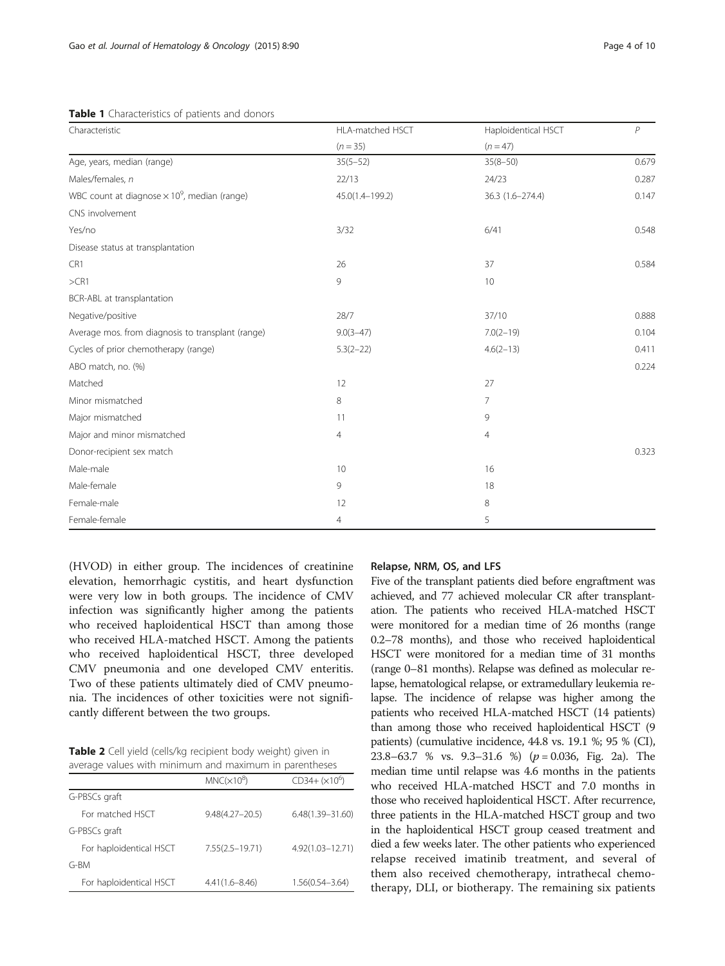<span id="page-3-0"></span>Table 1 Characteristics of patients and donors

| Characteristic                                                  | HLA-matched HSCT | Haploidentical HSCT | P     |
|-----------------------------------------------------------------|------------------|---------------------|-------|
|                                                                 | $(n = 35)$       | $(n = 47)$          |       |
| Age, years, median (range)                                      | $35(5-52)$       | $35(8 - 50)$        | 0.679 |
| Males/females, n                                                | 22/13            | 24/23               | 0.287 |
| WBC count at diagnose $\times$ 10 <sup>9</sup> , median (range) | 45.0(1.4-199.2)  | 36.3 (1.6-274.4)    | 0.147 |
| CNS involvement                                                 |                  |                     |       |
| Yes/no                                                          | 3/32             | 6/41                | 0.548 |
| Disease status at transplantation                               |                  |                     |       |
| CR1                                                             | 26               | 37                  | 0.584 |
| >C <sub>R1</sub>                                                | 9                | 10 <sup>°</sup>     |       |
| BCR-ABL at transplantation                                      |                  |                     |       |
| Negative/positive                                               | 28/7             | 37/10               | 0.888 |
| Average mos. from diagnosis to transplant (range)               | $9.0(3 - 47)$    | $7.0(2 - 19)$       | 0.104 |
| Cycles of prior chemotherapy (range)                            | $5.3(2-22)$      | $4.6(2 - 13)$       | 0.411 |
| ABO match, no. (%)                                              |                  |                     | 0.224 |
| Matched                                                         | 12               | 27                  |       |
| Minor mismatched                                                | 8                | 7                   |       |
| Major mismatched                                                | 11               | 9                   |       |
| Major and minor mismatched                                      | 4                | 4                   |       |
| Donor-recipient sex match                                       |                  |                     | 0.323 |
| Male-male                                                       | 10               | 16                  |       |
| Male-female                                                     | 9                | 18                  |       |
| Female-male                                                     | 12               | 8                   |       |
| Female-female                                                   | $\overline{4}$   | 5                   |       |

(HVOD) in either group. The incidences of creatinine elevation, hemorrhagic cystitis, and heart dysfunction were very low in both groups. The incidence of CMV infection was significantly higher among the patients who received haploidentical HSCT than among those who received HLA-matched HSCT. Among the patients who received haploidentical HSCT, three developed CMV pneumonia and one developed CMV enteritis. Two of these patients ultimately died of CMV pneumonia. The incidences of other toxicities were not significantly different between the two groups.

Table 2 Cell yield (cells/kg recipient body weight) given in average values with minimum and maximum in parentheses

|                         | $MNC(x10^8)$        | $CD34 + (×106)$      |  |  |
|-------------------------|---------------------|----------------------|--|--|
| G-PBSCs graft           |                     |                      |  |  |
| For matched HSCT        | $9.48(4.27 - 20.5)$ | $6.48(1.39 - 31.60)$ |  |  |
| G-PBSCs graft           |                     |                      |  |  |
| For haploidentical HSCT | $7.55(2.5 - 19.71)$ | 4.92(1.03-12.71)     |  |  |
| $G-BM$                  |                     |                      |  |  |
| For haploidentical HSCT | $4.41(1.6 - 8.46)$  | 1.56(0.54-3.64)      |  |  |

## Relapse, NRM, OS, and LFS

Five of the transplant patients died before engraftment was achieved, and 77 achieved molecular CR after transplantation. The patients who received HLA-matched HSCT were monitored for a median time of 26 months (range 0.2–78 months), and those who received haploidentical HSCT were monitored for a median time of 31 months (range 0–81 months). Relapse was defined as molecular relapse, hematological relapse, or extramedullary leukemia relapse. The incidence of relapse was higher among the patients who received HLA-matched HSCT (14 patients) than among those who received haploidentical HSCT (9 patients) (cumulative incidence, 44.8 vs. 19.1 %; 95 % (CI), 23.8–63.7 % vs. 9.3–31.6 %)  $(p = 0.036, \text{ Fig. 2a})$  $(p = 0.036, \text{ Fig. 2a})$  $(p = 0.036, \text{ Fig. 2a})$ . The median time until relapse was 4.6 months in the patients who received HLA-matched HSCT and 7.0 months in those who received haploidentical HSCT. After recurrence, three patients in the HLA-matched HSCT group and two in the haploidentical HSCT group ceased treatment and died a few weeks later. The other patients who experienced relapse received imatinib treatment, and several of them also received chemotherapy, intrathecal chemotherapy, DLI, or biotherapy. The remaining six patients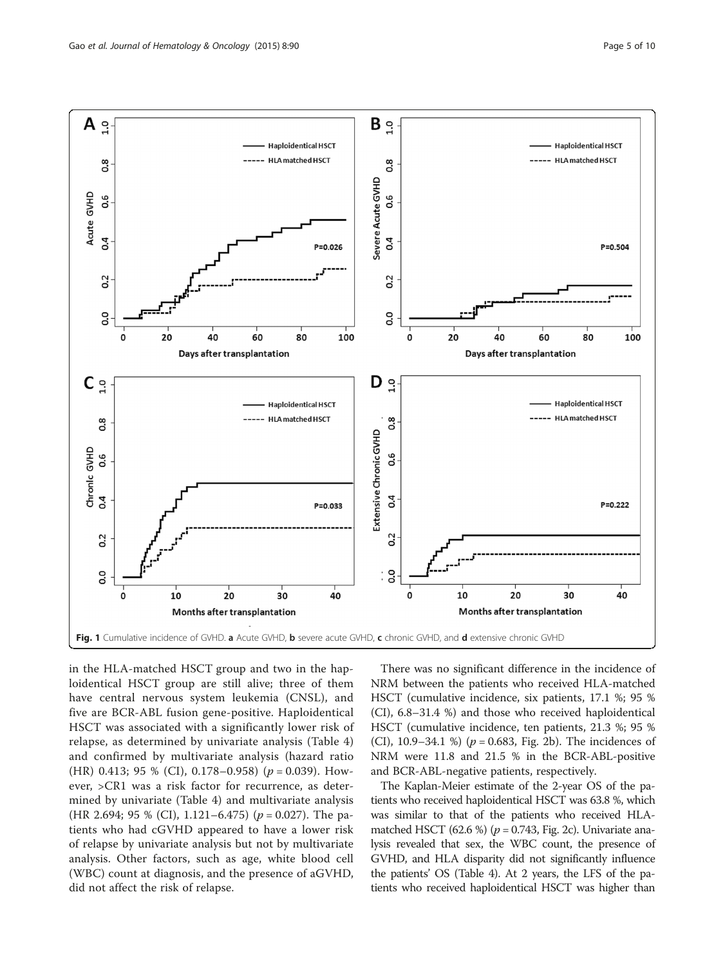<span id="page-4-0"></span>

in the HLA-matched HSCT group and two in the haploidentical HSCT group are still alive; three of them have central nervous system leukemia (CNSL), and five are BCR-ABL fusion gene-positive. Haploidentical HSCT was associated with a significantly lower risk of relapse, as determined by univariate analysis (Table [4](#page-7-0)) and confirmed by multivariate analysis (hazard ratio (HR) 0.413; 95 % (CI), 0.178–0.958) ( $p = 0.039$ ). However, >CR1 was a risk factor for recurrence, as determined by univariate (Table [4](#page-7-0)) and multivariate analysis (HR 2.694; 95 % (CI), 1.121–6.475) ( $p = 0.027$ ). The patients who had cGVHD appeared to have a lower risk of relapse by univariate analysis but not by multivariate analysis. Other factors, such as age, white blood cell (WBC) count at diagnosis, and the presence of aGVHD, did not affect the risk of relapse.

There was no significant difference in the incidence of NRM between the patients who received HLA-matched HSCT (cumulative incidence, six patients, 17.1 %; 95 % (CI), 6.8–31.4 %) and those who received haploidentical HSCT (cumulative incidence, ten patients, 21.3 %; 95 % (CI), 10.9–34.1 %) ( $p = 0.683$ , Fig. [2b](#page-6-0)). The incidences of NRM were 11.8 and 21.5 % in the BCR-ABL-positive and BCR-ABL-negative patients, respectively.

The Kaplan-Meier estimate of the 2-year OS of the patients who received haploidentical HSCT was 63.8 %, which was similar to that of the patients who received HLAmatched HSCT (62.6 %) ( $p = 0.743$ , Fig. [2c\)](#page-6-0). Univariate analysis revealed that sex, the WBC count, the presence of GVHD, and HLA disparity did not significantly influence the patients' OS (Table [4](#page-7-0)). At 2 years, the LFS of the patients who received haploidentical HSCT was higher than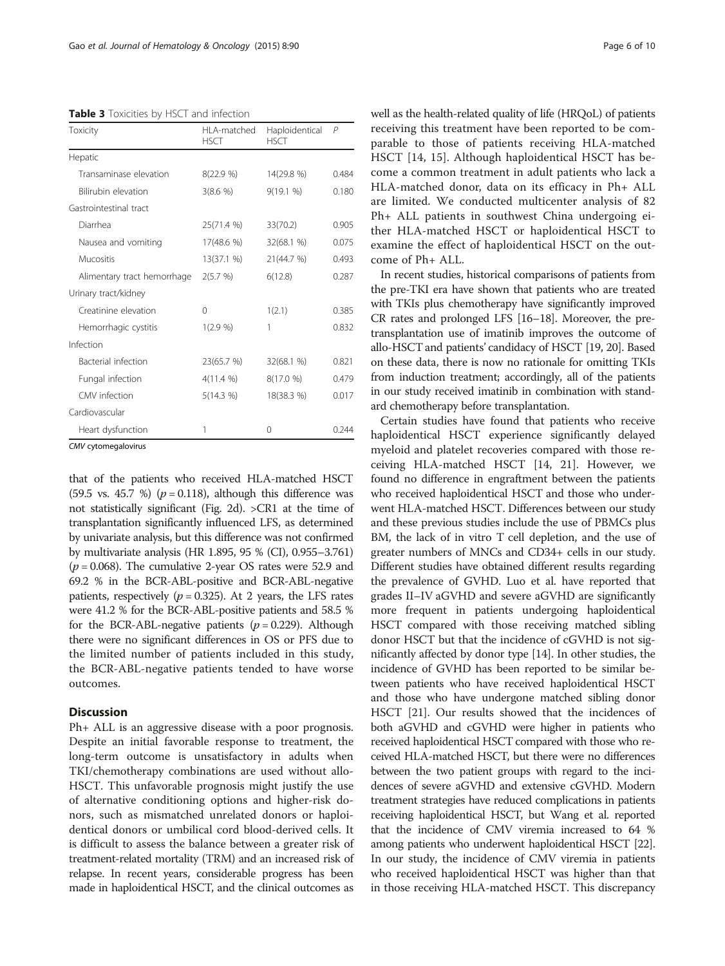<span id="page-5-0"></span>Table 3 Toxicities by HSCT and infection

| <b>Toxicity</b>             | HLA-matched<br><b>HSCT</b> | Haploidentical<br>HSCT | P     |  |
|-----------------------------|----------------------------|------------------------|-------|--|
| Hepatic                     |                            |                        |       |  |
| Transaminase elevation      | 8(22.9 %)                  | 14(29.8 %)             | 0.484 |  |
| Bilirubin elevation         | 3(8.6 %)                   | 9(19.1 %)              | 0.180 |  |
| Gastrointestinal tract      |                            |                        |       |  |
| Diarrhea                    | 25(71.4 %)                 | 33(70.2)               | 0.905 |  |
| Nausea and vomiting         | 17(48.6 %)                 | 32(68.1 %)             | 0.075 |  |
| <b>Mucositis</b>            | 13(37.1 %)                 | 21(44.7 %)             | 0.493 |  |
| Alimentary tract hemorrhage | 2(5.7%)                    | 6(12.8)                | 0.287 |  |
| Urinary tract/kidney        |                            |                        |       |  |
| Creatinine elevation        | $\Omega$                   | 1(2.1)                 | 0.385 |  |
| Hemorrhagic cystitis        | 1(2.9 %)                   | 1                      | 0.832 |  |
| Infection                   |                            |                        |       |  |
| Bacterial infection         | 23(65.7 %)                 | 32(68.1 %)             | 0.821 |  |
| Fungal infection            | $4(11.4\%)$                | 8(17.0 %)              | 0.479 |  |
| CMV infection               | 5(14.3 %)                  | 18(38.3 %)             | 0.017 |  |
| Cardiovascular              |                            |                        |       |  |
| Heart dysfunction           | 1                          | $\Omega$               | 0.244 |  |

CMV cytomegalovirus

that of the patients who received HLA-matched HSCT (59.5 vs. 45.7 %) ( $p = 0.118$ ), although this difference was not statistically significant (Fig. [2d](#page-6-0)). >CR1 at the time of transplantation significantly influenced LFS, as determined by univariate analysis, but this difference was not confirmed by multivariate analysis (HR 1.895, 95 % (CI), 0.955–3.761)  $(p = 0.068)$ . The cumulative 2-year OS rates were 52.9 and 69.2 % in the BCR-ABL-positive and BCR-ABL-negative patients, respectively ( $p = 0.325$ ). At 2 years, the LFS rates were 41.2 % for the BCR-ABL-positive patients and 58.5 % for the BCR-ABL-negative patients ( $p = 0.229$ ). Although there were no significant differences in OS or PFS due to the limited number of patients included in this study, the BCR-ABL-negative patients tended to have worse outcomes.

# **Discussion**

Ph+ ALL is an aggressive disease with a poor prognosis. Despite an initial favorable response to treatment, the long-term outcome is unsatisfactory in adults when TKI/chemotherapy combinations are used without allo-HSCT. This unfavorable prognosis might justify the use of alternative conditioning options and higher-risk donors, such as mismatched unrelated donors or haploidentical donors or umbilical cord blood-derived cells. It is difficult to assess the balance between a greater risk of treatment-related mortality (TRM) and an increased risk of relapse. In recent years, considerable progress has been made in haploidentical HSCT, and the clinical outcomes as well as the health-related quality of life (HRQoL) of patients receiving this treatment have been reported to be comparable to those of patients receiving HLA-matched HSCT [[14](#page-8-0), [15\]](#page-8-0). Although haploidentical HSCT has become a common treatment in adult patients who lack a HLA-matched donor, data on its efficacy in Ph+ ALL are limited. We conducted multicenter analysis of 82 Ph+ ALL patients in southwest China undergoing either HLA-matched HSCT or haploidentical HSCT to examine the effect of haploidentical HSCT on the outcome of Ph+ ALL.

In recent studies, historical comparisons of patients from the pre-TKI era have shown that patients who are treated with TKIs plus chemotherapy have significantly improved CR rates and prolonged LFS [\[16](#page-8-0)–[18\]](#page-8-0). Moreover, the pretransplantation use of imatinib improves the outcome of allo-HSCT and patients' candidacy of HSCT [\[19,](#page-8-0) [20\]](#page-9-0). Based on these data, there is now no rationale for omitting TKIs from induction treatment; accordingly, all of the patients in our study received imatinib in combination with standard chemotherapy before transplantation.

Certain studies have found that patients who receive haploidentical HSCT experience significantly delayed myeloid and platelet recoveries compared with those receiving HLA-matched HSCT [[14,](#page-8-0) [21](#page-9-0)]. However, we found no difference in engraftment between the patients who received haploidentical HSCT and those who underwent HLA-matched HSCT. Differences between our study and these previous studies include the use of PBMCs plus BM, the lack of in vitro T cell depletion, and the use of greater numbers of MNCs and CD34+ cells in our study. Different studies have obtained different results regarding the prevalence of GVHD. Luo et al. have reported that grades II–IV aGVHD and severe aGVHD are significantly more frequent in patients undergoing haploidentical HSCT compared with those receiving matched sibling donor HSCT but that the incidence of cGVHD is not significantly affected by donor type [\[14\]](#page-8-0). In other studies, the incidence of GVHD has been reported to be similar between patients who have received haploidentical HSCT and those who have undergone matched sibling donor HSCT [\[21](#page-9-0)]. Our results showed that the incidences of both aGVHD and cGVHD were higher in patients who received haploidentical HSCT compared with those who received HLA-matched HSCT, but there were no differences between the two patient groups with regard to the incidences of severe aGVHD and extensive cGVHD. Modern treatment strategies have reduced complications in patients receiving haploidentical HSCT, but Wang et al. reported that the incidence of CMV viremia increased to 64 % among patients who underwent haploidentical HSCT [\[22](#page-9-0)]. In our study, the incidence of CMV viremia in patients who received haploidentical HSCT was higher than that in those receiving HLA-matched HSCT. This discrepancy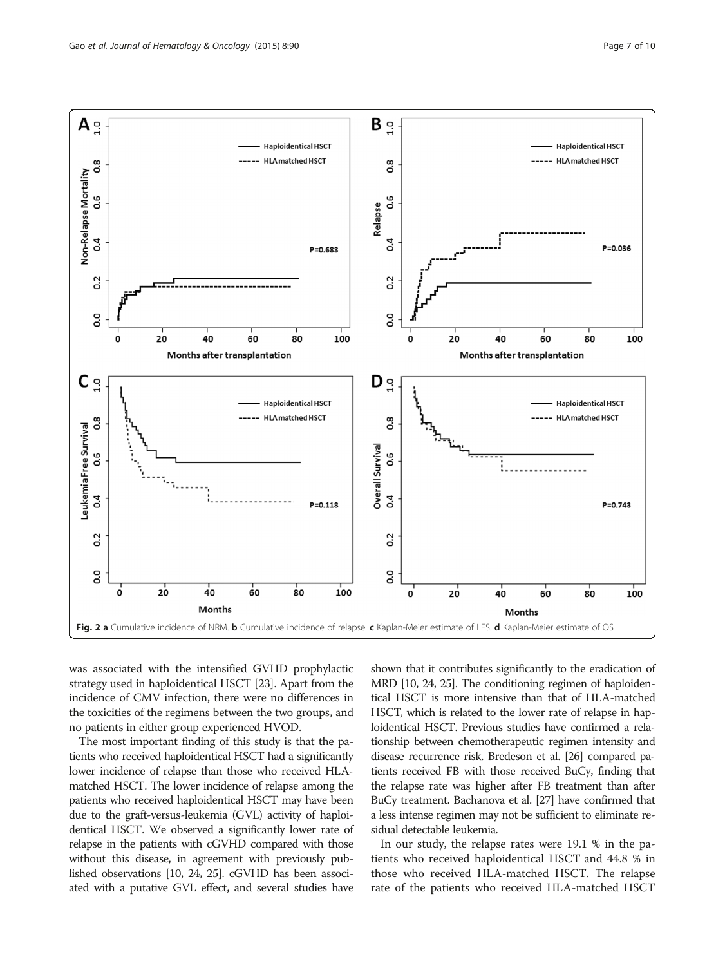<span id="page-6-0"></span>

was associated with the intensified GVHD prophylactic strategy used in haploidentical HSCT [\[23\]](#page-9-0). Apart from the incidence of CMV infection, there were no differences in the toxicities of the regimens between the two groups, and no patients in either group experienced HVOD.

The most important finding of this study is that the patients who received haploidentical HSCT had a significantly lower incidence of relapse than those who received HLAmatched HSCT. The lower incidence of relapse among the patients who received haploidentical HSCT may have been due to the graft-versus-leukemia (GVL) activity of haploidentical HSCT. We observed a significantly lower rate of relapse in the patients with cGVHD compared with those without this disease, in agreement with previously published observations [\[10,](#page-8-0) [24](#page-9-0), [25](#page-9-0)]. cGVHD has been associated with a putative GVL effect, and several studies have

shown that it contributes significantly to the eradication of MRD [[10,](#page-8-0) [24, 25](#page-9-0)]. The conditioning regimen of haploidentical HSCT is more intensive than that of HLA-matched HSCT, which is related to the lower rate of relapse in haploidentical HSCT. Previous studies have confirmed a relationship between chemotherapeutic regimen intensity and disease recurrence risk. Bredeson et al. [\[26](#page-9-0)] compared patients received FB with those received BuCy, finding that the relapse rate was higher after FB treatment than after BuCy treatment. Bachanova et al. [\[27\]](#page-9-0) have confirmed that a less intense regimen may not be sufficient to eliminate residual detectable leukemia.

In our study, the relapse rates were 19.1 % in the patients who received haploidentical HSCT and 44.8 % in those who received HLA-matched HSCT. The relapse rate of the patients who received HLA-matched HSCT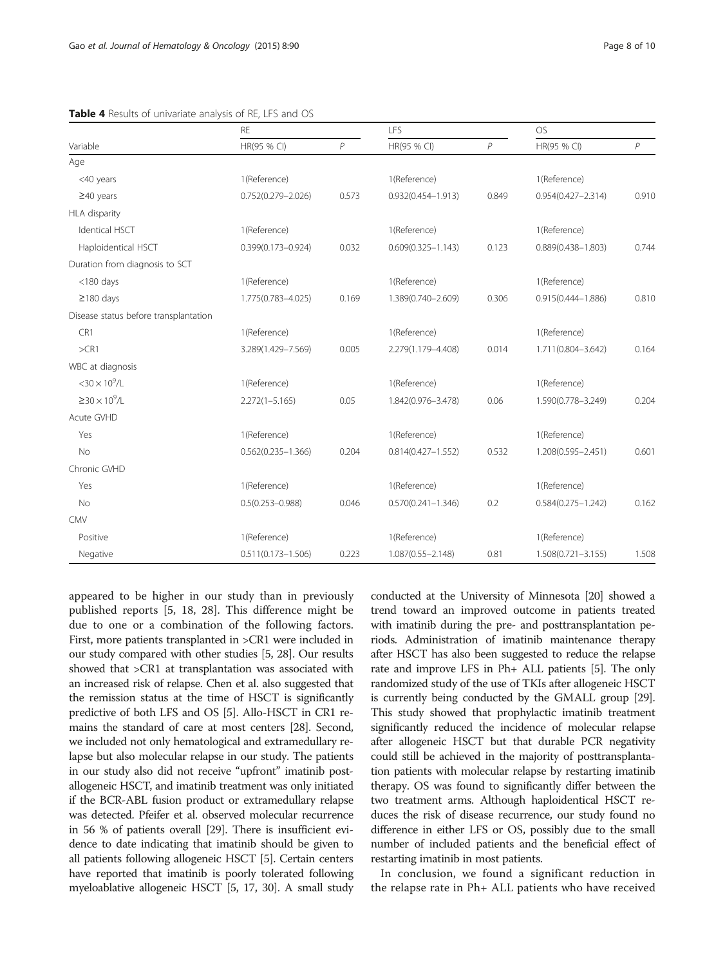<span id="page-7-0"></span>

| Table 4 Results of univariate analysis of RE, LFS and OS |
|----------------------------------------------------------|
|                                                          |

| Variable                              | RE                     |                | <b>LFS</b>             |       | <b>OS</b>              |       |
|---------------------------------------|------------------------|----------------|------------------------|-------|------------------------|-------|
|                                       | HR(95 % CI)            | $\overline{P}$ | HR(95 % CI)            | P     | HR(95 % CI)            | P     |
| Age                                   |                        |                |                        |       |                        |       |
| <40 years                             | 1(Reference)           |                | 1(Reference)           |       | 1(Reference)           |       |
| $\geq$ 40 years                       | $0.752(0.279 - 2.026)$ | 0.573          | $0.932(0.454 - 1.913)$ | 0.849 | $0.954(0.427 - 2.314)$ | 0.910 |
| HLA disparity                         |                        |                |                        |       |                        |       |
| Identical HSCT                        | 1(Reference)           |                | 1(Reference)           |       | 1(Reference)           |       |
| Haploidentical HSCT                   | $0.399(0.173 - 0.924)$ | 0.032          | $0.609(0.325 - 1.143)$ | 0.123 | $0.889(0.438 - 1.803)$ | 0.744 |
| Duration from diagnosis to SCT        |                        |                |                        |       |                        |       |
| $<$ 180 days                          | 1(Reference)           |                | 1(Reference)           |       | 1(Reference)           |       |
| $\geq$ 180 days                       | 1.775(0.783-4.025)     | 0.169          | 1.389(0.740-2.609)     | 0.306 | 0.915(0.444-1.886)     | 0.810 |
| Disease status before transplantation |                        |                |                        |       |                        |       |
| CR1                                   | 1(Reference)           |                | 1(Reference)           |       | 1(Reference)           |       |
| >C <sub>R1</sub>                      | 3.289(1.429-7.569)     | 0.005          | 2.279(1.179-4.408)     | 0.014 | 1.711(0.804-3.642)     | 0.164 |
| WBC at diagnosis                      |                        |                |                        |       |                        |       |
| $<$ 30 $\times$ 10 <sup>9</sup> /L    | 1(Reference)           |                | 1(Reference)           |       | 1(Reference)           |       |
| $\geq 30 \times 10^9$ /I              | $2.272(1 - 5.165)$     | 0.05           | 1.842(0.976-3.478)     | 0.06  | 1.590(0.778-3.249)     | 0.204 |
| Acute GVHD                            |                        |                |                        |       |                        |       |
| Yes                                   | 1(Reference)           |                | 1(Reference)           |       | 1(Reference)           |       |
| No                                    | $0.562(0.235 - 1.366)$ | 0.204          | $0.814(0.427 - 1.552)$ | 0.532 | 1.208(0.595-2.451)     | 0.601 |
| Chronic GVHD                          |                        |                |                        |       |                        |       |
| Yes                                   | 1(Reference)           |                | 1(Reference)           |       | 1(Reference)           |       |
| No                                    | $0.5(0.253 - 0.988)$   | 0.046          | $0.570(0.241 - 1.346)$ | 0.2   | $0.584(0.275 - 1.242)$ | 0.162 |
| CMV                                   |                        |                |                        |       |                        |       |
| Positive                              | 1(Reference)           |                | 1(Reference)           |       | 1(Reference)           |       |
| Negative                              | $0.511(0.173 - 1.506)$ | 0.223          | 1.087(0.55-2.148)      | 0.81  | $1.508(0.721 - 3.155)$ | 1.508 |

appeared to be higher in our study than in previously published reports [[5](#page-8-0), [18,](#page-8-0) [28](#page-9-0)]. This difference might be due to one or a combination of the following factors. First, more patients transplanted in >CR1 were included in our study compared with other studies [[5,](#page-8-0) [28](#page-9-0)]. Our results showed that >CR1 at transplantation was associated with an increased risk of relapse. Chen et al. also suggested that the remission status at the time of HSCT is significantly predictive of both LFS and OS [\[5\]](#page-8-0). Allo-HSCT in CR1 remains the standard of care at most centers [\[28\]](#page-9-0). Second, we included not only hematological and extramedullary relapse but also molecular relapse in our study. The patients in our study also did not receive "upfront" imatinib postallogeneic HSCT, and imatinib treatment was only initiated if the BCR-ABL fusion product or extramedullary relapse was detected. Pfeifer et al. observed molecular recurrence in 56 % of patients overall [\[29\]](#page-9-0). There is insufficient evidence to date indicating that imatinib should be given to all patients following allogeneic HSCT [[5](#page-8-0)]. Certain centers have reported that imatinib is poorly tolerated following myeloablative allogeneic HSCT [\[5](#page-8-0), [17,](#page-8-0) [30\]](#page-9-0). A small study conducted at the University of Minnesota [[20](#page-9-0)] showed a trend toward an improved outcome in patients treated with imatinib during the pre- and posttransplantation periods. Administration of imatinib maintenance therapy after HSCT has also been suggested to reduce the relapse rate and improve LFS in Ph+ ALL patients [\[5](#page-8-0)]. The only randomized study of the use of TKIs after allogeneic HSCT is currently being conducted by the GMALL group [[29](#page-9-0)]. This study showed that prophylactic imatinib treatment significantly reduced the incidence of molecular relapse after allogeneic HSCT but that durable PCR negativity could still be achieved in the majority of posttransplantation patients with molecular relapse by restarting imatinib therapy. OS was found to significantly differ between the two treatment arms. Although haploidentical HSCT reduces the risk of disease recurrence, our study found no difference in either LFS or OS, possibly due to the small number of included patients and the beneficial effect of restarting imatinib in most patients.

In conclusion, we found a significant reduction in the relapse rate in Ph+ ALL patients who have received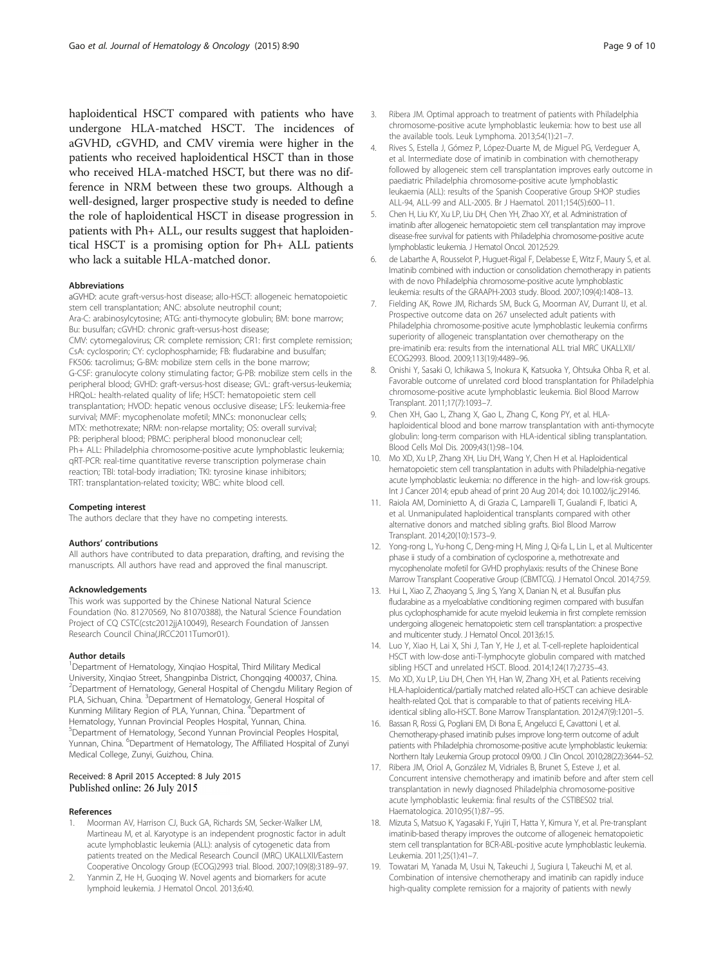<span id="page-8-0"></span>haploidentical HSCT compared with patients who have undergone HLA-matched HSCT. The incidences of aGVHD, cGVHD, and CMV viremia were higher in the patients who received haploidentical HSCT than in those who received HLA-matched HSCT, but there was no difference in NRM between these two groups. Although a well-designed, larger prospective study is needed to define the role of haploidentical HSCT in disease progression in patients with Ph+ ALL, our results suggest that haploidentical HSCT is a promising option for Ph+ ALL patients who lack a suitable HLA-matched donor.

#### **Abbreviations**

aGVHD: acute graft-versus-host disease; allo-HSCT: allogeneic hematopoietic stem cell transplantation; ANC: absolute neutrophil count; Ara-C: arabinosylcytosine; ATG: anti-thymocyte globulin; BM: bone marrow; Bu: busulfan; cGVHD: chronic graft-versus-host disease; CMV: cytomegalovirus; CR: complete remission; CR1: first complete remission; CsA: cyclosporin; CY: cyclophosphamide; FB: fludarabine and busulfan; FK506: tacrolimus; G-BM: mobilize stem cells in the bone marrow; G-CSF: granulocyte colony stimulating factor; G-PB: mobilize stem cells in the peripheral blood; GVHD: graft-versus-host disease; GVL: graft-versus-leukemia; HRQoL: health-related quality of life; HSCT: hematopoietic stem cell transplantation; HVOD: hepatic venous occlusive disease; LFS: leukemia-free survival; MMF: mycophenolate mofetil; MNCs: mononuclear cells; MTX: methotrexate; NRM: non-relapse mortality; OS: overall survival; PB: peripheral blood; PBMC: peripheral blood mononuclear cell; Ph+ ALL: Philadelphia chromosome-positive acute lymphoblastic leukemia; qRT-PCR: real-time quantitative reverse transcription polymerase chain reaction; TBI: total-body irradiation; TKI: tyrosine kinase inhibitors; TRT: transplantation-related toxicity; WBC: white blood cell.

#### Competing interest

The authors declare that they have no competing interests.

#### Authors' contributions

All authors have contributed to data preparation, drafting, and revising the manuscripts. All authors have read and approved the final manuscript.

#### Acknowledgements

This work was supported by the Chinese National Natural Science Foundation (No. 81270569, No 81070388), the Natural Science Foundation Project of CQ CSTC(cstc2012jjA10049), Research Foundation of Janssen Research Council China(JRCC2011Tumor01).

#### Author details

<sup>1</sup>Department of Hematology, Xinqiao Hospital, Third Military Medical University, Xinqiao Street, Shangpinba District, Chongqing 400037, China. 2 Department of Hematology, General Hospital of Chengdu Military Region of PLA, Sichuan, China. <sup>3</sup>Department of Hematology, General Hospital of Kunming Military Region of PLA, Yunnan, China. <sup>4</sup> Department of Hematology, Yunnan Provincial Peoples Hospital, Yunnan, China. 5 Department of Hematology, Second Yunnan Provincial Peoples Hospital, Yunnan, China. <sup>6</sup>Department of Hematology, The Affiliated Hospital of Zunyi Medical College, Zunyi, Guizhou, China.

#### Received: 8 April 2015 Accepted: 8 July 2015 Published online: 26 July 2015

#### References

- 1. Moorman AV, Harrison CJ, Buck GA, Richards SM, Secker-Walker LM, Martineau M, et al. Karyotype is an independent prognostic factor in adult acute lymphoblastic leukemia (ALL): analysis of cytogenetic data from patients treated on the Medical Research Council (MRC) UKALLXII/Eastern Cooperative Oncology Group (ECOG)2993 trial. Blood. 2007;109(8):3189–97.
- 2. Yanmin Z, He H, Guoqing W. Novel agents and biomarkers for acute lymphoid leukemia. J Hematol Oncol. 2013;6:40.
- 3. Ribera JM. Optimal approach to treatment of patients with Philadelphia chromosome-positive acute lymphoblastic leukemia: how to best use all the available tools. Leuk Lymphoma. 2013;54(1):21–7.
- 4. Rives S, Estella J, Gómez P, López-Duarte M, de Miguel PG, Verdeguer A, et al. Intermediate dose of imatinib in combination with chemotherapy followed by allogeneic stem cell transplantation improves early outcome in paediatric Philadelphia chromosome-positive acute lymphoblastic leukaemia (ALL): results of the Spanish Cooperative Group SHOP studies ALL-94, ALL-99 and ALL-2005. Br J Haematol. 2011;154(5):600–11.
- 5. Chen H, Liu KY, Xu LP, Liu DH, Chen YH, Zhao XY, et al. Administration of imatinib after allogeneic hematopoietic stem cell transplantation may improve disease-free survival for patients with Philadelphia chromosome-positive acute lymphoblastic leukemia. J Hematol Oncol. 2012;5:29.
- 6. de Labarthe A, Rousselot P, Huguet-Rigal F, Delabesse E, Witz F, Maury S, et al. Imatinib combined with induction or consolidation chemotherapy in patients with de novo Philadelphia chromosome-positive acute lymphoblastic leukemia: results of the GRAAPH-2003 study. Blood. 2007;109(4):1408–13.
- 7. Fielding AK, Rowe JM, Richards SM, Buck G, Moorman AV, Durrant IJ, et al. Prospective outcome data on 267 unselected adult patients with Philadelphia chromosome-positive acute lymphoblastic leukemia confirms superiority of allogeneic transplantation over chemotherapy on the pre-imatinib era: results from the international ALL trial MRC UKALLXII/ ECOG2993. Blood. 2009;113(19):4489–96.
- 8. Onishi Y, Sasaki O, Ichikawa S, Inokura K, Katsuoka Y, Ohtsuka Ohba R, et al. Favorable outcome of unrelated cord blood transplantation for Philadelphia chromosome-positive acute lymphoblastic leukemia. Biol Blood Marrow Transplant. 2011;17(7):1093–7.
- 9. Chen XH, Gao L, Zhang X, Gao L, Zhang C, Kong PY, et al. HLAhaploidentical blood and bone marrow transplantation with anti-thymocyte globulin: long-term comparison with HLA-identical sibling transplantation. Blood Cells Mol Dis. 2009;43(1):98–104.
- 10. Mo XD, Xu LP, Zhang XH, Liu DH, Wang Y, Chen H et al. Haploidentical hematopoietic stem cell transplantation in adults with Philadelphia-negative acute lymphoblastic leukemia: no difference in the high- and low-risk groups. Int J Cancer 2014; epub ahead of print 20 Aug 2014; doi: [10.1002/ijc.29146.](http://dx.doi.org/10.1002/ijc.29146)
- 11. Raiola AM, Dominietto A, di Grazia C, Lamparelli T, Gualandi F, Ibatici A, et al. Unmanipulated haploidentical transplants compared with other alternative donors and matched sibling grafts. Biol Blood Marrow Transplant. 2014;20(10):1573–9.
- 12. Yong-rong L, Yu-hong C, Deng-ming H, Ming J, Qi-fa L, Lin L, et al. Multicenter phase ii study of a combination of cyclosporine a, methotrexate and mycophenolate mofetil for GVHD prophylaxis: results of the Chinese Bone Marrow Transplant Cooperative Group (CBMTCG). J Hematol Oncol. 2014;7:59.
- 13. Hui L, Xiao Z, Zhaoyang S, Jing S, Yang X, Danian N, et al. Busulfan plus fludarabine as a myeloablative conditioning regimen compared with busulfan plus cyclophosphamide for acute myeloid leukemia in first complete remission undergoing allogeneic hematopoietic stem cell transplantation: a prospective and multicenter study. J Hematol Oncol. 2013;6:15.
- 14. Luo Y, Xiao H, Lai X, Shi J, Tan Y, He J, et al. T-cell-replete haploidentical HSCT with low-dose anti-T-lymphocyte globulin compared with matched sibling HSCT and unrelated HSCT. Blood. 2014;124(17):2735–43.
- 15. Mo XD, Xu LP, Liu DH, Chen YH, Han W, Zhang XH, et al. Patients receiving HLA-haploidentical/partially matched related allo-HSCT can achieve desirable health-related QoL that is comparable to that of patients receiving HLAidentical sibling allo-HSCT. Bone Marrow Transplantation. 2012;47(9):1201–5.
- 16. Bassan R, Rossi G, Pogliani EM, Di Bona E, Angelucci E, Cavattoni I, et al. Chemotherapy-phased imatinib pulses improve long-term outcome of adult patients with Philadelphia chromosome-positive acute lymphoblastic leukemia: Northern Italy Leukemia Group protocol 09/00. J Clin Oncol. 2010;28(22):3644–52.
- 17. Ribera JM, Oriol A, González M, Vidriales B, Brunet S, Esteve J, et al. Concurrent intensive chemotherapy and imatinib before and after stem cell transplantation in newly diagnosed Philadelphia chromosome-positive acute lymphoblastic leukemia: final results of the CSTIBES02 trial. Haematologica. 2010;95(1):87–95.
- 18. Mizuta S, Matsuo K, Yagasaki F, Yujiri T, Hatta Y, Kimura Y, et al. Pre-transplant imatinib-based therapy improves the outcome of allogeneic hematopoietic stem cell transplantation for BCR-ABL-positive acute lymphoblastic leukemia. Leukemia. 2011;25(1):41–7.
- 19. Towatari M, Yanada M, Usui N, Takeuchi J, Sugiura I, Takeuchi M, et al. Combination of intensive chemotherapy and imatinib can rapidly induce high-quality complete remission for a majority of patients with newly